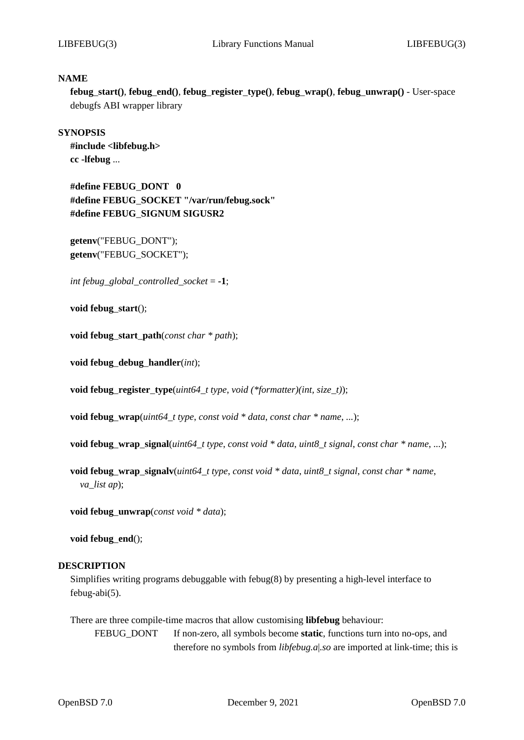### **NAME**

**febug***\_***start()**, **febug***\_***end()**, **febug***\_***register***\_***type()**, **febug***\_***wrap()**, **febug***\_***unwrap()** - User-space debugfs ABI wrapper library

## **SYNOPSIS**

**#include <libfebug.h> cc -lfebug** ...

**#define FEBUG***\_***DONT 0 #define FEBUG***\_***SOCKET "/var/run/febug.sock" #define FEBUG***\_***SIGNUM SIGUSR2**

**getenv**("FEBUG\_DONT"); **getenv**("FEBUG\_SOCKET");

*int febug\_global\_controlled\_socket* = **-1**;

**void febug***\_***start**();

**void febug***\_***start***\_***path**(*const char \* path*);

**void febug***\_***debug***\_***handler**(*int*);

**void febug***\_***register***\_***type**(*uint64\_t type*, *void (\*formatter)(int, size\_t)*);

**void febug***\_***wrap**(*uint64\_t type*, *const void \* data*, *const char \* name*, *...*);

**void febug***\_***wrap***\_***signal**(*uint64\_t type*, *const void \* data*, *uint8\_t signal*, *const char \* name*, *...*);

**void febug***\_***wrap***\_***signalv**(*uint64\_t type*, *const void \* data*, *uint8\_t signal*, *const char \* name*, *va\_list ap*);

**void febug***\_***unwrap**(*const void \* data*);

**void febug***\_***end**();

# **DESCRIPTION**

Simplifies writing programs debuggable with febug(8) by presenting a high-level interface to febug-abi(5).

There are three compile-time macros that allow customising **libfebug** behaviour: FEBUG\_DONT If non-zero, all symbols become **static**, functions turn into no-ops, and therefore no symbols from *libfebug.a*|*.so* are imported at link-time; this is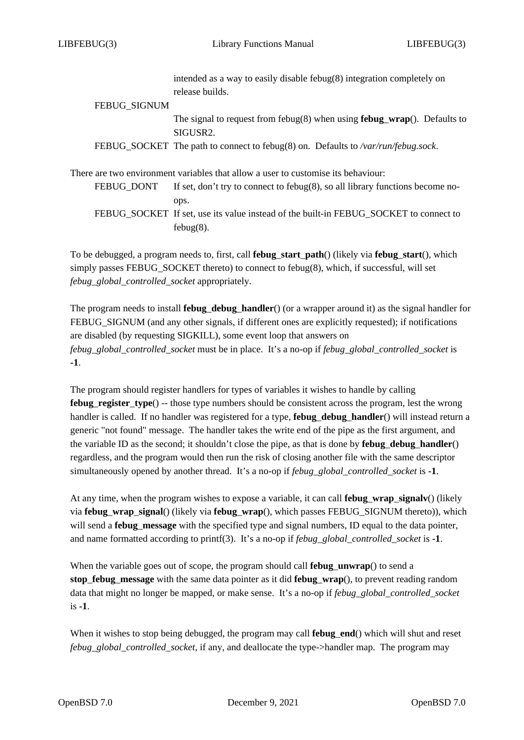|                     | intended as a way to easily disable febug $(8)$ integration completely on<br>release builds.                    |
|---------------------|-----------------------------------------------------------------------------------------------------------------|
|                     |                                                                                                                 |
| <b>FEBUG SIGNUM</b> |                                                                                                                 |
|                     | The signal to request from febug $(8)$ when using <b>febug_wrap</b> $()$ . Defaults to<br>SIGUSR <sub>2</sub> . |
|                     | FEBUG_SOCKET The path to connect to febug(8) on. Defaults to /var/run/febug.sock.                               |
|                     | There are two environment variables that allow a user to customise its behaviour:                               |
| FEBUG DONT          | If set, don't try to connect to febug $(8)$ , so all library functions become no-                               |
|                     | ops.                                                                                                            |
|                     | FEBUG SOCKET If set, use its value instead of the built-in FEBUG SOCKET to connect to                           |
|                     | $febug(8)$ .                                                                                                    |

To be debugged, a program needs to, first, call **febug***\_***start***\_***path**() (likely via **febug***\_***start**(), which simply passes FEBUG\_SOCKET thereto) to connect to febug(8), which, if successful, will set *febug\_global\_controlled\_socket* appropriately.

The program needs to install **febug***\_***debug***\_***handler**() (or a wrapper around it) as the signal handler for FEBUG\_SIGNUM (and any other signals, if different ones are explicitly requested); if notifications are disabled (by requesting SIGKILL), some event loop that answers on *febug\_global\_controlled\_socket* must be in place. It's a no-op if *febug\_global\_controlled\_socket* is **-1**.

The program should register handlers for types of variables it wishes to handle by calling **febug***\_***register***\_***type**() -- those type numbers should be consistent across the program, lest the wrong handler is called. If no handler was registered for a type, **febug***\_***debug***\_***handler**() will instead return a generic "not found" message. The handler takes the write end of the pipe as the first argument, and the variable ID as the second; it shouldn't close the pipe, as that is done by **febug***\_***debug***\_***handler**() regardless, and the program would then run the risk of closing another file with the same descriptor simultaneously opened by another thread. It's a no-op if *febug\_global\_controlled\_socket* is **-1**.

At any time, when the program wishes to expose a variable, it can call **febug***\_***wrap***\_***signalv**() (likely via **febug***\_***wrap***\_***signal**() (likely via **febug***\_***wrap**(), which passes FEBUG\_SIGNUM thereto)), which will send a **febug***\_***message** with the specified type and signal numbers, ID equal to the data pointer, and name formatted according to printf(3). It's a no-op if *febug\_global\_controlled\_socket* is **-1**.

When the variable goes out of scope, the program should call **febug***\_***unwrap**() to send a **stop***\_***febug***\_***message** with the same data pointer as it did **febug***\_***wrap**(), to prevent reading random data that might no longer be mapped, or make sense. It's a no-op if *febug\_global\_controlled\_socket* is **-1**.

When it wishes to stop being debugged, the program may call **febug***\_***end**() which will shut and reset *febug\_global\_controlled\_socket*, if any, and deallocate the type->handler map. The program may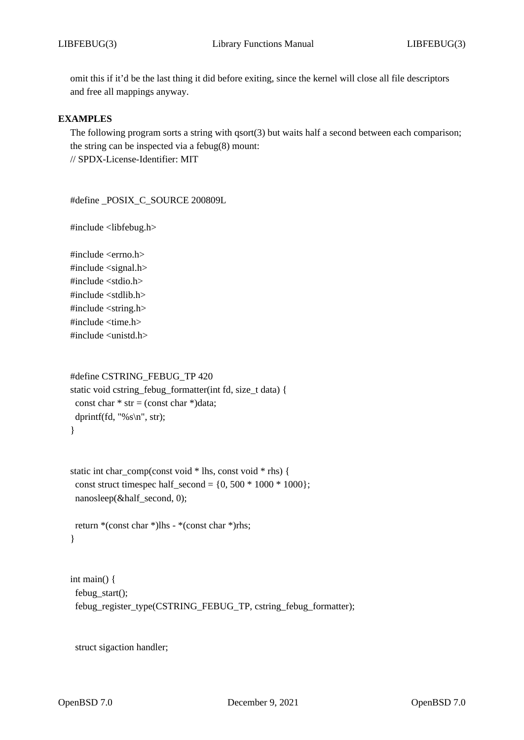omit this if it'd be the last thing it did before exiting, since the kernel will close all file descriptors and free all mappings anyway.

## **EXAMPLES**

The following program sorts a string with  $qsort(3)$  but waits half a second between each comparison; the string can be inspected via a febug(8) mount: // SPDX-License-Identifier: MIT

#define \_POSIX\_C\_SOURCE 200809L

#include <libfebug.h>

#include <errno.h> #include <signal.h> #include <stdio.h> #include <stdlib.h> #include <string.h> #include <time.h> #include <unistd.h>

```
#define CSTRING_FEBUG_TP 420
static void cstring_febug_formatter(int fd, size_t data) {
 const char * str = (const char *)data;
 dprintf(fd, "%s \nightharpoonup", str);
}
```

```
static int char_comp(const void * lhs, const void * rhs) {
 const struct timespec half_second = \{0, 500 * 1000 * 1000\};
 nanosleep(&half_second, 0);
```

```
return *(const char *)lhs - *(const char *)rhs;
}
```

```
int main() {
 febug_start();
 febug_register_type(CSTRING_FEBUG_TP, cstring_febug_formatter);
```
struct sigaction handler;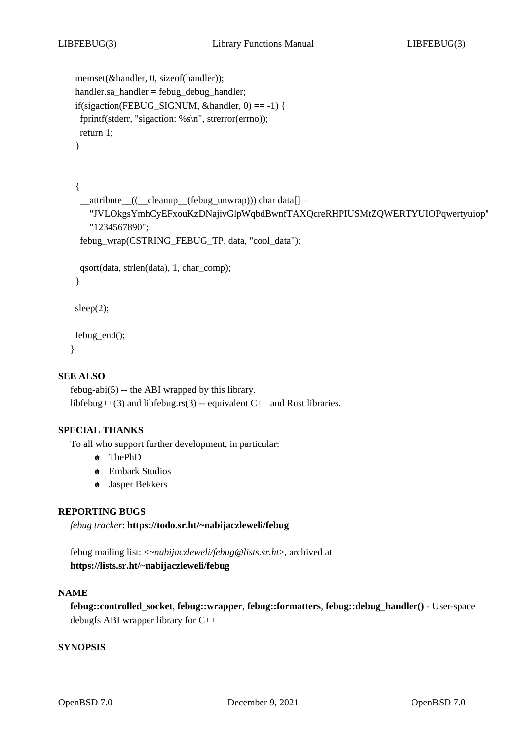```
memset(&handler, 0, sizeof(handler));
handler.sa_handler = febug_debug_handler;
if(sigaction(FEBUG_SIGNUM, &handler, 0) == -1) {
fprintf(stderr, "sigaction: %s\n", strerror(errno));
return 1;
}
```

```
{
 __attribute__((__cleanup__(febug_unwrap))) char data[] =
   "JVLOkgsYmhCyEFxouKzDNajivGlpWqbdBwnfTAXQcreRHPIUSMtZQWERTYUIOPqwertyuiop"
   "1234567890";
 febug_wrap(CSTRING_FEBUG_TP, data, "cool_data");
qsort(data, strlen(data), 1, char_comp);
}
sleep(2);
```
febug\_end(); }

# **SEE ALSO**

```
febug-abi(5) -- the ABI wrapped by this library.
libfebug++(3) and libfebug.rs(3) -- equivalent C++ and Rust libraries.
```
#### **SPECIAL THANKS**

To all who support further development, in particular:

- **+o** ThePhD
- **+o** Embark Studios
- **+o** Jasper Bekkers

# **REPORTING BUGS**

*febug tracker*: **https://todo.sr.ht/~nabijaczleweli/febug**

febug mailing list: <*~nabijaczleweli/febug@lists.sr.ht*>, archived at **https://lists.sr.ht/~nabijaczleweli/febug**

#### **NAME**

**febug::controlled***\_***socket**, **febug::wrapper**, **febug::formatters**, **febug::debug***\_***handler()** - User-space debugfs ABI wrapper library for C++

### **SYNOPSIS**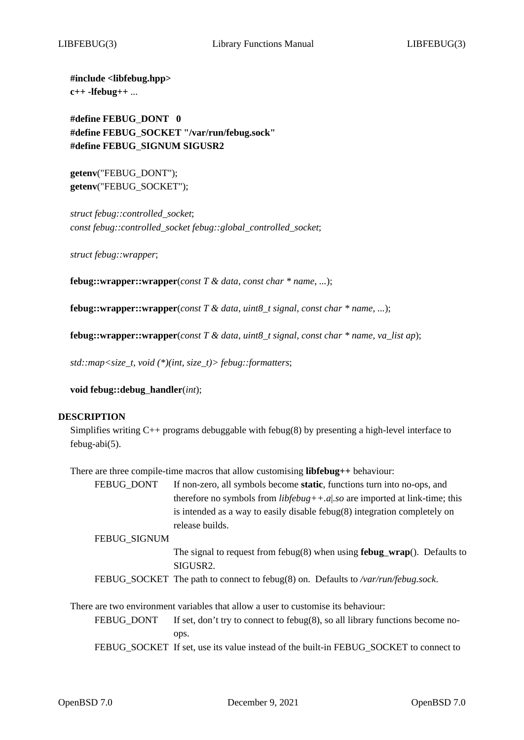**#include <libfebug.hpp> c++ -lfebug++** ...

**#define FEBUG***\_***DONT 0 #define FEBUG***\_***SOCKET "/var/run/febug.sock" #define FEBUG***\_***SIGNUM SIGUSR2**

**getenv**("FEBUG\_DONT"); **getenv**("FEBUG\_SOCKET");

*struct febug::controlled\_socket*; *const febug::controlled\_socket febug::global\_controlled\_socket*;

*struct febug::wrapper*;

**febug::wrapper::wrapper**(*const T & data*, *const char \* name*, *...*);

**febug::wrapper::wrapper**(*const T & data*, *uint8\_t signal*, *const char \* name*, *...*);

**febug::wrapper::wrapper**(*const T & data*, *uint8\_t signal*, *const char \* name*, *va\_list ap*);

*std::map<size\_t, void (\*)(int, size\_t)> febug::formatters*;

**void febug::debug***\_***handler**(*int*);

#### **DESCRIPTION**

Simplifies writing  $C_{++}$  programs debuggable with febug(8) by presenting a high-level interface to febug-abi(5).

There are three compile-time macros that allow customising **libfebug++** behaviour:

FEBUG\_DONT If non-zero, all symbols become **static**, functions turn into no-ops, and therefore no symbols from *libfebug++.a*|*.so* are imported at link-time; this is intended as a way to easily disable febug(8) integration completely on release builds.

FEBUG\_SIGNUM

- The signal to request from febug(8) when using **febug***\_***wrap**(). Defaults to SIGUSR2.
- FEBUG\_SOCKET The path to connect to febug(8) on. Defaults to */var/run/febug.sock*.

There are two environment variables that allow a user to customise its behaviour:

FEBUG\_DONT If set, don't try to connect to febug(8), so all library functions become noops.

FEBUG\_SOCKET If set, use its value instead of the built-in FEBUG\_SOCKET to connect to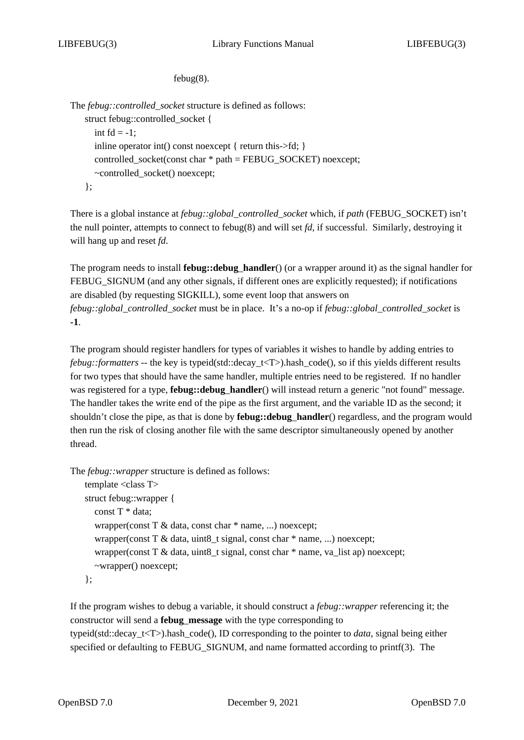febug(8).

The *febug::controlled\_socket* structure is defined as follows: struct febug::controlled\_socket { int  $fd = -1$ ; inline operator int() const noexcept { return this->fd; } controlled socket(const char  $*$  path = FEBUG\_SOCKET) noexcept; ~controlled\_socket() noexcept; };

There is a global instance at *febug::global\_controlled\_socket* which, if *path* (FEBUG\_SOCKET) isn't the null pointer, attempts to connect to febug(8) and will set *fd*, if successful. Similarly, destroying it will hang up and reset *fd*.

The program needs to install **febug::debug***\_***handler**() (or a wrapper around it) as the signal handler for FEBUG SIGNUM (and any other signals, if different ones are explicitly requested); if notifications are disabled (by requesting SIGKILL), some event loop that answers on *febug::global\_controlled\_socket* must be in place. It's a no-op if *febug::global\_controlled\_socket* is **-1**.

The program should register handlers for types of variables it wishes to handle by adding entries to *febug::formatters* -- the key is typeid(std::decay\_t<T>).hash\_code(), so if this yields different results for two types that should have the same handler, multiple entries need to be registered. If no handler was registered for a type, **febug::debug***\_***handler**() will instead return a generic "not found" message. The handler takes the write end of the pipe as the first argument, and the variable ID as the second; it shouldn't close the pipe, as that is done by **febug::debug***\_***handler**() regardless, and the program would then run the risk of closing another file with the same descriptor simultaneously opened by another thread.

The *febug::wrapper* structure is defined as follows:

```
template <class T>
struct febug::wrapper {
  const T * data;
  wrapper(const T & data, const char * name, ...) noexcept;
  wrapper(const T & data, uint8_t signal, const char * name, ...) noexcept;
  wrapper(const T & data, uint8_t signal, const char * name, va_list ap) noexcept;
  ~wrapper() noexcept;
};
```
If the program wishes to debug a variable, it should construct a *febug::wrapper* referencing it; the constructor will send a **febug***\_***message** with the type corresponding to typeid(std::decay\_t<T>).hash\_code(), ID corresponding to the pointer to *data*, signal being either specified or defaulting to FEBUG\_SIGNUM, and name formatted according to printf(3). The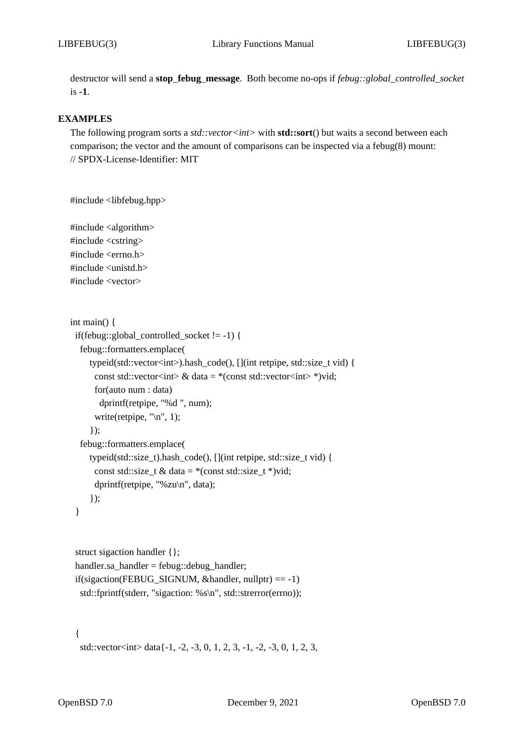destructor will send a **stop***\_***febug***\_***message**. Both become no-ops if *febug::global\_controlled\_socket* is **-1**.

## **EXAMPLES**

The following program sorts a *std::vector<int>* with **std::sort**() but waits a second between each comparison; the vector and the amount of comparisons can be inspected via a febug(8) mount: // SPDX-License-Identifier: MIT

```
#include <libfebug.hpp>
```
#include <algorithm> #include <cstring> #include <errno.h> #include <unistd.h> #include <vector>

```
int main() {
 if(febug::global_controlled_socket != -1) {
  febug::formatters.emplace(
     typeid(std::vector<int>).hash_code(), [](int retpipe, std::size_t vid) {
       const std::vector<int> & data = *(const std::vector<int> *)vid;
       for(auto num : data)
        dprintf(retpipe, "%d ", num);
       write(retpipe, \lceil \ln \rceil, 1);
     });
  febug::formatters.emplace(
     typeid(std::size_t).hash_code(), [](int retpipe, std::size_t vid) {
       const std::size_t & data = *(\text{const} \cdot \text{std}:\text{size}\_\text{t}^*)\text{vid};dprintf(retpipe, "%zu\n", data);
     });
 }
```

```
struct sigaction handler {};
handler.sa_handler = febug::debug_handler;
if(sigaction(FEBUG_SIGNUM, &handler, nullptr) == -1)
 std::fprintf(stderr, "sigaction: %s\n", std::strerror(errno));
```
{

```
std::vector<int> data\{-1, -2, -3, 0, 1, 2, 3, -1, -2, -3, 0, 1, 2, 3,
```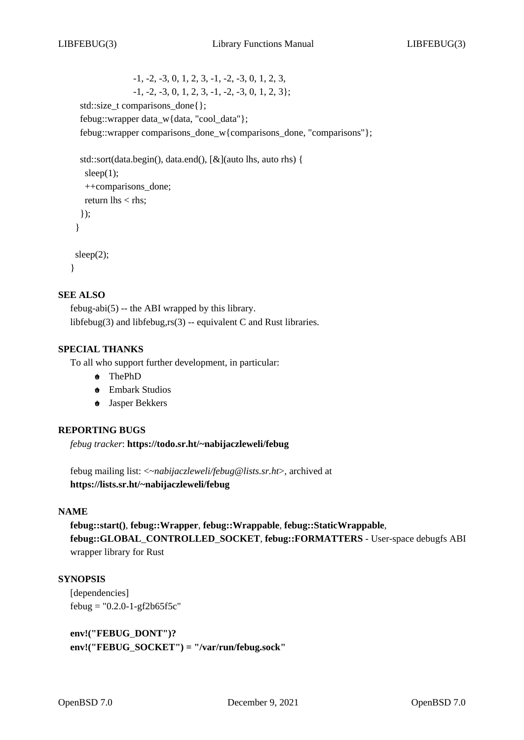-1, -2, -3, 0, 1, 2, 3, -1, -2, -3, 0, 1, 2, 3,  $-1, -2, -3, 0, 1, 2, 3, -1, -2, -3, 0, 1, 2, 3$ std::size\_t comparisons\_done{}; febug::wrapper data\_w{data, "cool\_data"}; febug::wrapper comparisons\_done\_w{comparisons\_done, "comparisons"};

```
std::sort(data.begin(), data.end(), [&](auto lhs, auto rhs) {
  sleep(1);
  ++comparisons_done;
  return \text{lns} < \text{rhs};
 });
}
sleep(2);
```
#### }

### **SEE ALSO**

febug-abi(5) -- the ABI wrapped by this library. libfebug(3) and libfebug,rs(3) -- equivalent C and Rust libraries.

### **SPECIAL THANKS**

To all who support further development, in particular:

- **+o** ThePhD
- **+o** Embark Studios
- **+o** Jasper Bekkers

#### **REPORTING BUGS**

*febug tracker*: **https://todo.sr.ht/~nabijaczleweli/febug**

febug mailing list: <*~nabijaczleweli/febug@lists.sr.ht*>, archived at **https://lists.sr.ht/~nabijaczleweli/febug**

#### **NAME**

**febug::start()**, **febug::Wrapper**, **febug::Wrappable**, **febug::StaticWrappable**, **febug::GLOBAL***\_***CONTROLLED***\_***SOCKET**, **febug::FORMATTERS** - User-space debugfs ABI wrapper library for Rust

### **SYNOPSIS**

[dependencies]  $febug = "0.2.0 - 1 - gf2b65f5c"$ 

**env!("FEBUG***\_***DONT")? env!("FEBUG***\_***SOCKET") = "/var/run/febug.sock"**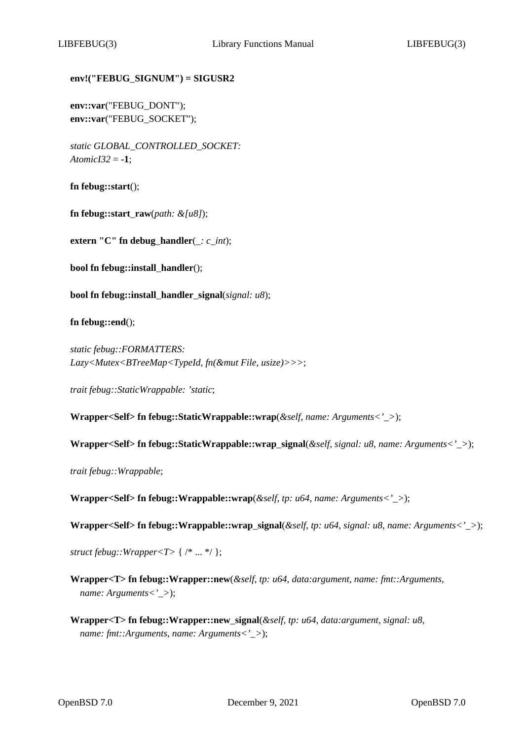# **env!("FEBUG***\_***SIGNUM") = SIGUSR2**

**env::var**("FEBUG\_DONT"); **env::var**("FEBUG\_SOCKET");

*static GLOBAL\_CONTROLLED\_SOCKET: AtomicI32* = **-1**;

**fn febug::start**();

**fn febug::start***\_***raw**(*path: &[u8]*);

**extern "C" fn debug***\_***handler**(*\_: c\_int*);

**bool fn febug::install***\_***handler**();

**bool fn febug::install***\_***handler***\_***signal**(*signal: u8*);

**fn febug::end**();

*static febug::FORMATTERS: Lazy<Mutex<BTreeMap<TypeId, fn(&mut File, usize)>>>*;

*trait febug::StaticWrappable: 'static*;

**Wrapper<Self> fn febug::StaticWrappable::wrap**(*&self*, *name: Arguments<'\_>*);

**Wrapper<Self> fn febug::StaticWrappable::wrap***\_***signal**(*&self*, *signal: u8*, *name: Arguments<'\_>*);

*trait febug::Wrappable*;

**Wrapper<Self> fn febug::Wrappable::wrap**(*&self*, *tp: u64*, *name: Arguments<'\_>*);

**Wrapper<Self> fn febug::Wrappable::wrap***\_***signal**(*&self*, *tp: u64*, *signal: u8*, *name: Arguments<'\_>*);

*struct febug::Wrapper<T>* { /\* ... \*/ };

**Wrapper<T> fn febug::Wrapper::new**(*&self*, *tp: u64*, *data:argument*, *name: fmt::Arguments*, *name: Arguments<'\_>*);

**Wrapper<T> fn febug::Wrapper::new***\_***signal**(*&self*, *tp: u64*, *data:argument*, *signal: u8*, *name: fmt::Arguments*, *name: Arguments<'\_>*);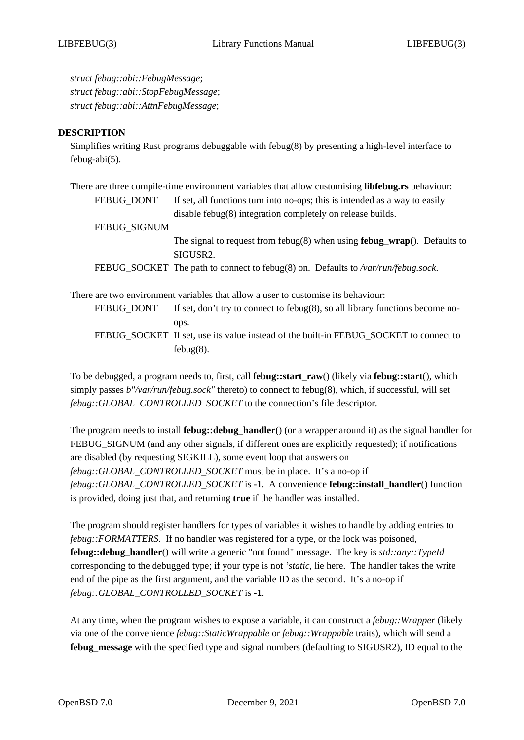*struct febug::abi::FebugMessage*; *struct febug::abi::StopFebugMessage*; *struct febug::abi::AttnFebugMessage*;

### **DESCRIPTION**

Simplifies writing Rust programs debuggable with febug(8) by presenting a high-level interface to febug-abi(5).

|              | There are three compile-time environment variables that allow customising libfebug.rs behaviour: |
|--------------|--------------------------------------------------------------------------------------------------|
| FEBUG_DONT   | If set, all functions turn into no-ops; this is intended as a way to easily                      |
|              | disable febug(8) integration completely on release builds.                                       |
| FEBUG_SIGNUM |                                                                                                  |
|              | The signal to request from febug $(8)$ when using <b>febug_wrap</b> $()$ . Defaults to           |
|              | SIGUSR2.                                                                                         |
|              | FEBUG_SOCKET The path to connect to febug(8) on. Defaults to /var/run/febug.sock.                |
|              | There are two environment variables that allow a user to customise its behaviour:                |
| FEBUG_DONT   | If set, don't try to connect to febug(8), so all library functions become no-                    |
|              | ops.                                                                                             |
|              |                                                                                                  |

FEBUG\_SOCKET If set, use its value instead of the built-in FEBUG\_SOCKET to connect to febug(8).

To be debugged, a program needs to, first, call **febug::start***\_***raw**() (likely via **febug::start**(), which simply passes *b"/var/run/febug.sock"* thereto) to connect to febug(8), which, if successful, will set *febug::GLOBAL\_CONTROLLED\_SOCKET* to the connection's file descriptor.

The program needs to install **febug::debug***\_***handler**() (or a wrapper around it) as the signal handler for FEBUG SIGNUM (and any other signals, if different ones are explicitly requested); if notifications are disabled (by requesting SIGKILL), some event loop that answers on *febug::GLOBAL\_CONTROLLED\_SOCKET* must be in place. It's a no-op if *febug::GLOBAL\_CONTROLLED\_SOCKET* is **-1**. A convenience **febug::install***\_***handler**() function is provided, doing just that, and returning **true** if the handler was installed.

The program should register handlers for types of variables it wishes to handle by adding entries to *febug::FORMATTERS*. If no handler was registered for a type, or the lock was poisoned, **febug::debug***\_***handler**() will write a generic "not found" message. The key is *std::any::TypeId* corresponding to the debugged type; if your type is not *'static*, lie here. The handler takes the write end of the pipe as the first argument, and the variable ID as the second. It's a no-op if *febug::GLOBAL\_CONTROLLED\_SOCKET* is **-1**.

At any time, when the program wishes to expose a variable, it can construct a *febug::Wrapper* (likely via one of the convenience *febug::StaticWrappable* or *febug::Wrappable* traits), which will send a **febug***\_***message** with the specified type and signal numbers (defaulting to SIGUSR2), ID equal to the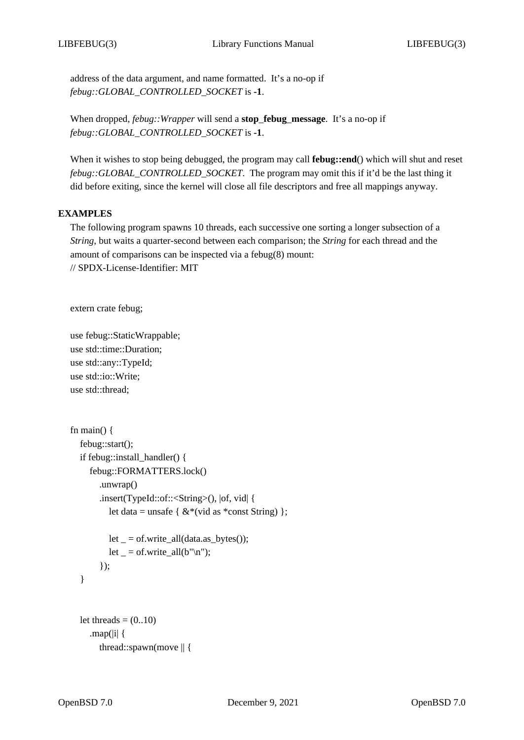address of the data argument, and name formatted. It's a no-op if *febug::GLOBAL\_CONTROLLED\_SOCKET* is **-1**.

When dropped, *febug::Wrapper* will send a **stop***\_***febug***\_***message**. It's a no-op if *febug::GLOBAL\_CONTROLLED\_SOCKET* is **-1**.

When it wishes to stop being debugged, the program may call **febug::end**() which will shut and reset *febug::GLOBAL\_CONTROLLED\_SOCKET*. The program may omit this if it'd be the last thing it did before exiting, since the kernel will close all file descriptors and free all mappings anyway.

# **EXAMPLES**

The following program spawns 10 threads, each successive one sorting a longer subsection of a *String*, but waits a quarter-second between each comparison; the *String* for each thread and the amount of comparisons can be inspected via a febug(8) mount: // SPDX-License-Identifier: MIT

extern crate febug;

use febug::StaticWrappable; use std::time::Duration; use std::any::TypeId; use std::io::Write; use std::thread;

```
fn main() \{febug::start();
  if febug::install_handler() {
     febug::FORMATTERS.lock()
       .unwrap()
       .insert(TypeId::of::<String>(), |of, vid| {
          let data = unsafe { &*(vid as *const String) };
         let = of.write_all(data.as_bytes());
         let = of.write_all(b"\n^n);});
  }
  let threads =(0..10).map(|i| {
       thread::spawn(move || {
```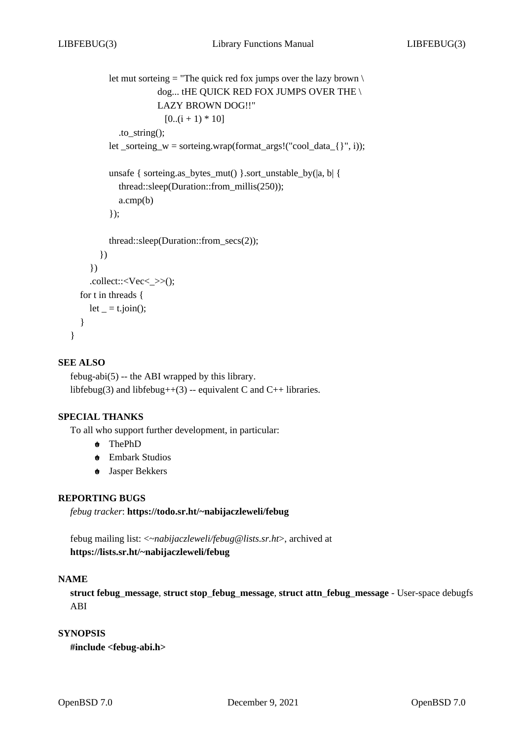```
let mut sorteing = "The quick red fox jumps over the lazy brown \setminusdog... tHE QUICK RED FOX JUMPS OVER THE \
                   LAZY BROWN DOG!!"
                      [0..(i + 1) * 10].to_string();
       let _sorteing_w = sorteing.wrap(format_args!("cool_data_{}", i));
       unsafe { sorteing.as_bytes_mut() }.sort_unstable_by(|a, b| {
         thread::sleep(Duration::from_millis(250));
         a.cmp(b)
       \}:
       thread::sleep(Duration::from_secs(2));
     })
  })
  .collect::\langle Vec \rangle:
for t in threads {
  let = t.join();
```
# **SEE ALSO**

} }

febug-abi(5) -- the ABI wrapped by this library. libfebug(3) and libfebug++(3) -- equivalent C and C++ libraries.

# **SPECIAL THANKS**

To all who support further development, in particular:

- **+o** ThePhD
- **+o** Embark Studios
- **+o** Jasper Bekkers

# **REPORTING BUGS**

*febug tracker*: **https://todo.sr.ht/~nabijaczleweli/febug**

febug mailing list: <*~nabijaczleweli/febug@lists.sr.ht*>, archived at **https://lists.sr.ht/~nabijaczleweli/febug**

### **NAME**

**struct febug***\_***message**, **struct stop***\_***febug***\_***message**, **struct attn***\_***febug***\_***message** - User-space debugfs ABI

## **SYNOPSIS**

**#include <febug-abi.h>**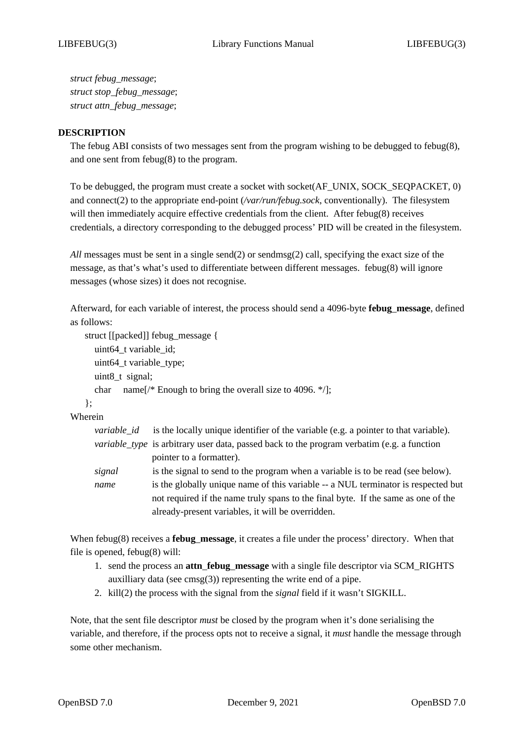*struct febug\_message*; *struct stop\_febug\_message*; *struct attn\_febug\_message*;

## **DESCRIPTION**

The febug ABI consists of two messages sent from the program wishing to be debugged to febug(8), and one sent from febug(8) to the program.

To be debugged, the program must create a socket with socket(AF\_UNIX, SOCK\_SEQPACKET, 0) and connect(2) to the appropriate end-point (*/var/run/febug.sock*, conventionally). The filesystem will then immediately acquire effective credentials from the client. After febug(8) receives credentials, a directory corresponding to the debugged process' PID will be created in the filesystem.

*All* messages must be sent in a single send(2) or sendmsg(2) call, specifying the exact size of the message, as that's what's used to differentiate between different messages. febug(8) will ignore messages (whose sizes) it does not recognise.

Afterward, for each variable of interest, the process should send a 4096-byte **febug***\_***message**, defined as follows:

```
struct [[packed]] febug_message {
  uint64_t variable_id;
  uint64_t variable_type;
  uint8_t signal;
  char name[/* Enough to bring the overall size to 4096. */];
```
}; Wherein

| variable id | is the locally unique identifier of the variable (e.g. a pointer to that variable).               |
|-------------|---------------------------------------------------------------------------------------------------|
|             | <i>variable_type</i> is arbitrary user data, passed back to the program verbatim (e.g. a function |
|             | pointer to a formatter).                                                                          |
| signal      | is the signal to send to the program when a variable is to be read (see below).                   |
| name        | is the globally unique name of this variable -- a NUL terminator is respected but                 |
|             | not required if the name truly spans to the final byte. If the same as one of the                 |
|             | already-present variables, it will be overridden.                                                 |

When febug(8) receives a **febug***\_***message**, it creates a file under the process' directory. When that file is opened, febug(8) will:

- 1. send the process an **attn***\_***febug***\_***message** with a single file descriptor via SCM\_RIGHTS auxilliary data (see  $\text{cmsg}(3)$ ) representing the write end of a pipe.
- 2. kill(2) the process with the signal from the *signal* field if it wasn't SIGKILL.

Note, that the sent file descriptor *must* be closed by the program when it's done serialising the variable, and therefore, if the process opts not to receive a signal, it *must* handle the message through some other mechanism.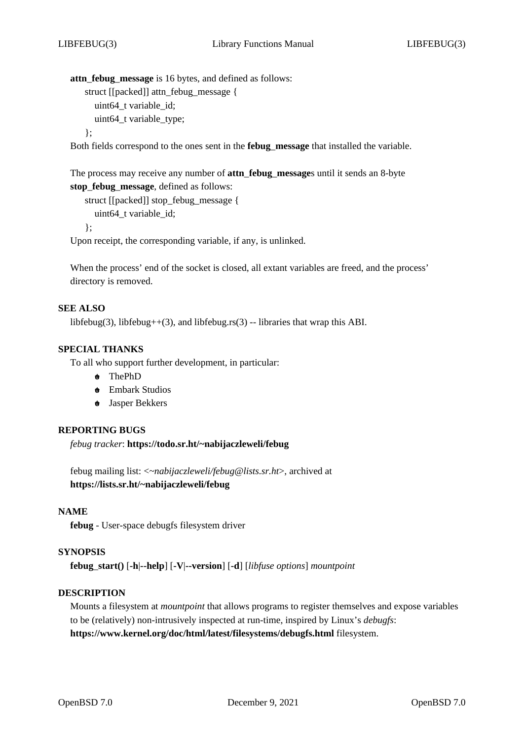**attn***\_***febug***\_***message** is 16 bytes, and defined as follows: struct [[packed]] attn\_febug\_message { uint64 t variable id; uint64\_t variable\_type; };

Both fields correspond to the ones sent in the **febug***\_***message** that installed the variable.

The process may receive any number of **attn***\_***febug***\_***message**s until it sends an 8-byte **stop***\_***febug***\_***message**, defined as follows:

```
struct [[packed]] stop_febug_message {
  uint64 t variable id;
};
```
Upon receipt, the corresponding variable, if any, is unlinked.

When the process' end of the socket is closed, all extant variables are freed, and the process' directory is removed.

### **SEE ALSO**

libfebug(3), libfebug++(3), and libfebug.rs(3) -- libraries that wrap this ABI.

### **SPECIAL THANKS**

To all who support further development, in particular:

- **+o** ThePhD
- **+o** Embark Studios
- **+o** Jasper Bekkers

#### **REPORTING BUGS**

*febug tracker*: **https://todo.sr.ht/~nabijaczleweli/febug**

febug mailing list: <*~nabijaczleweli/febug@lists.sr.ht*>, archived at **https://lists.sr.ht/~nabijaczleweli/febug**

#### **NAME**

**febug** - User-space debugfs filesystem driver

#### **SYNOPSIS**

**febug***\_***start()** [**-h**|**--help**] [**-V**|**--version**] [**-d**] [*libfuse options*] *mountpoint*

# **DESCRIPTION**

Mounts a filesystem at *mountpoint* that allows programs to register themselves and expose variables to be (relatively) non-intrusively inspected at run-time, inspired by Linux's *debugfs*: **https://www.kernel.org/doc/html/latest/filesystems/debugfs.html** filesystem.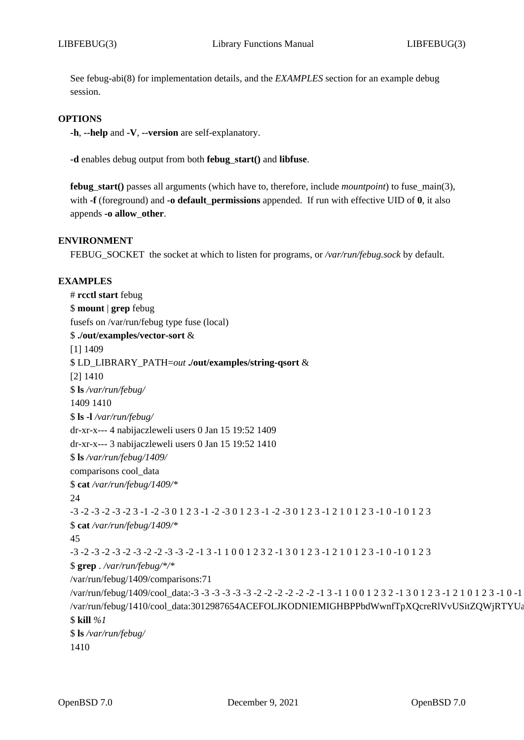See febug-abi(8) for implementation details, and the *EXAMPLES* section for an example debug session.

## **OPTIONS**

**-h**, **--help** and **-V**, **--version** are self-explanatory.

**-d** enables debug output from both **febug***\_***start()** and **libfuse**.

**febug***\_***start()** passes all arguments (which have to, therefore, include *mountpoint*) to fuse\_main(3), with **-f** (foreground) and **-o default***\_***permissions** appended. If run with effective UID of **0**, it also appends **-o allow***\_***other**.

#### **ENVIRONMENT**

FEBUG\_SOCKET the socket at which to listen for programs, or */var/run/febug.sock* by default.

#### **EXAMPLES**

# **rcctl start** febug \$ **mount** | **grep** febug fusefs on /var/run/febug type fuse (local) \$ **./out/examples/vector-sort** & [1] 1409 \$ LD\_LIBRARY\_PATH=*out* **./out/examples/string-qsort** & [2] 1410 \$ **ls** */var/run/febug/* 1409 1410 \$ **ls -l** */var/run/febug/* dr-xr-x--- 4 nabijaczleweli users 0 Jan 15 19:52 1409 dr-xr-x--- 3 nabijaczleweli users 0 Jan 15 19:52 1410 \$ **ls** */var/run/febug/1409/* comparisons cool\_data \$ **cat** */var/run/febug/1409/\** 24 -3 -2 -3 -2 -3 -2 3 -1 -2 -3 0 1 2 3 -1 -2 -3 0 1 2 3 -1 -2 -3 0 1 2 3 -1 2 1 0 1 2 3 -1 0 -1 0 1 2 3 \$ **cat** */var/run/febug/1409/\** 45 -3 -2 -3 -2 -3 -2 -3 -2 -2 -3 -3 -2 -1 3 -1 1 0 0 1 2 3 2 -1 3 0 1 2 3 -1 2 1 0 1 2 3 -1 0 -1 0 1 2 3 \$ **grep** . */var/run/febug/\*/\** /var/run/febug/1409/comparisons:71 /var/run/febug/1409/cool\_data:-3 -3 -3 -3 -3 -3 -2 -2 -2 -2 -2 -2 -1 3 -1 1 0 0 1 2 3 2 -1 3 0 1 2 3 -1 2 1 0 1 2 3 -1 0 -1 0 /var/run/febug/1410/cool\_data:3012987654ACEFOLJKODNIEMIGHBPPbdWwnfTpXQcreRlVvUSitZQWjRTYUa \$ **kill** *%1* \$ **ls** */var/run/febug/* 1410